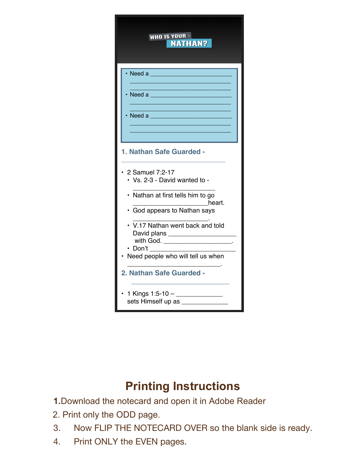| WHO IS YOUR -<br><b>NATHAN?</b>                                                                                                                                                                                                                                                                                            |
|----------------------------------------------------------------------------------------------------------------------------------------------------------------------------------------------------------------------------------------------------------------------------------------------------------------------------|
| $\cdot$ Need a<br><u> 1989 - Johann Barbara, martxa alemaniar a</u><br>$\cdot$ Need a $\qquad$                                                                                                                                                                                                                             |
| 1. Nathan Safe Guarded -<br>2 Samuel 7:2-17<br>• Vs. 2-3 - David wanted to -<br>• Nathan at first tells him to go<br>heart.<br>· God appears to Nathan says<br>• V.17 Nathan went back and told<br>David plans ______________________<br>with God. _________________________<br>Don't<br>Need people who will tell us when |
| 2. Nathan Safe Guarded -<br>sets Himself up as _______________                                                                                                                                                                                                                                                             |

## **Printing Instructions**

**1.**Download the notecard and open it in Adobe Reader

- 2. Print only the ODD page.
- 3. Now FLIP THE NOTECARD OVER so the blank side is ready.
- 4. Print ONLY the EVEN pages.